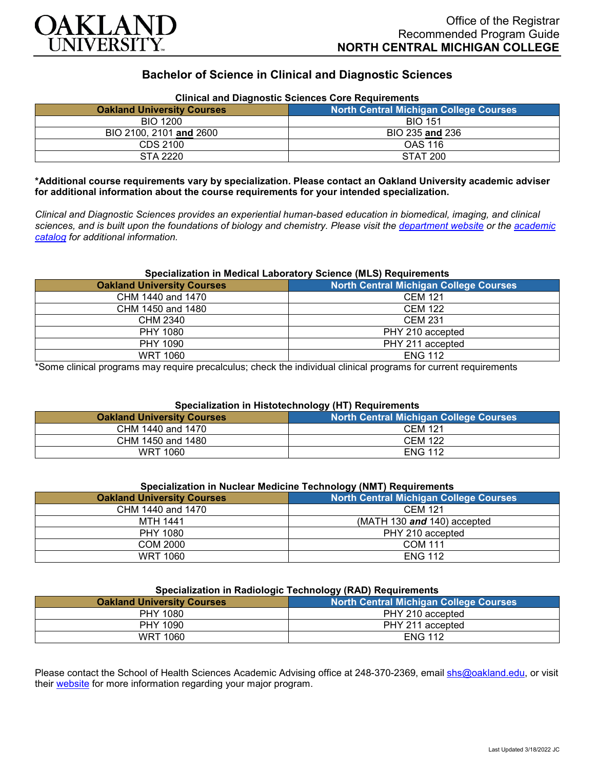

## **Bachelor of Science in Clinical and Diagnostic Sciences**

| Clinical and Diagnostic Sciences Core Requirements |                                               |
|----------------------------------------------------|-----------------------------------------------|
| <b>Oakland University Courses</b>                  | <b>North Central Michigan College Courses</b> |
| BIO 1200                                           | <b>BIO 151</b>                                |
| BIO 2100, 2101 and 2600                            | BIO 235 and 236                               |
| CDS 2100                                           | <b>OAS 116</b>                                |
| STA 2220                                           | <b>STAT 200</b>                               |

# **Clinical and Diagnostic Sciences Core Requirements**

**\*Additional course requirements vary by specialization. Please contact an Oakland University academic adviser for additional information about the course requirements for your intended specialization.**

*Clinical and Diagnostic Sciences provides an experiential human-based education in biomedical, imaging, and clinical sciences, and is built upon the foundations of biology and chemistry. Please visit the [department website](https://www.oakland.edu/shs/clinical-and-diagnostic-sciences/) or the [academic](http://catalog.oakland.edu/preview_program.php?catoid=53&poid=8663)  [catalog](http://catalog.oakland.edu/preview_program.php?catoid=53&poid=8663) for additional information.*

### **Specialization in Medical Laboratory Science (MLS) Requirements**

| <b>Oakland University Courses</b> | North Central Michigan College Courses |
|-----------------------------------|----------------------------------------|
| CHM 1440 and 1470                 | <b>CEM 121</b>                         |
| CHM 1450 and 1480                 | <b>CEM 122</b>                         |
| CHM 2340                          | <b>CEM 231</b>                         |
| PHY 1080                          | PHY 210 accepted                       |
| PHY 1090                          | PHY 211 accepted                       |
| <b>WRT 1060</b>                   | <b>ENG 112</b>                         |

\*Some clinical programs may require precalculus; check the individual clinical programs for current requirements

### **Specialization in Histotechnology (HT) Requirements**

| <b>Oakland University Courses</b> | North Central Michigan College Courses |
|-----------------------------------|----------------------------------------|
| CHM 1440 and 1470                 | <b>CEM 121</b>                         |
| CHM 1450 and 1480                 | <b>CEM 122</b>                         |
| <b>WRT 1060</b>                   | <b>ENG 112</b>                         |

## **Specialization in Nuclear Medicine Technology (NMT) Requirements**

| .                                 |                                        |
|-----------------------------------|----------------------------------------|
| <b>Oakland University Courses</b> | North Central Michigan College Courses |
| CHM 1440 and 1470                 | <b>CEM 121</b>                         |
| MTH 1441                          | (MATH 130 $and$ 140) accepted          |
| PHY 1080                          | PHY 210 accepted                       |
| COM 2000                          | <b>COM 111</b>                         |
| <b>WRT 1060</b>                   | <b>ENG 112</b>                         |

#### **Specialization in Radiologic Technology (RAD) Requirements**

| <b>Oakland University Courses</b> | <b>North Central Michigan College Courses</b> |
|-----------------------------------|-----------------------------------------------|
| PHY 1080                          | PHY 210 accepted                              |
| PHY 1090                          | PHY 211 accepted                              |
| <b>WRT 1060</b>                   | <b>ENG 112</b>                                |

Please contact the School of Health Sciences Academic Advising office at 248-370-2369, email [shs@oakland.edu,](mailto:shs@oakland.edu) or visit their [website](http://www.oakland.edu/shs/advising) for more information regarding your major program.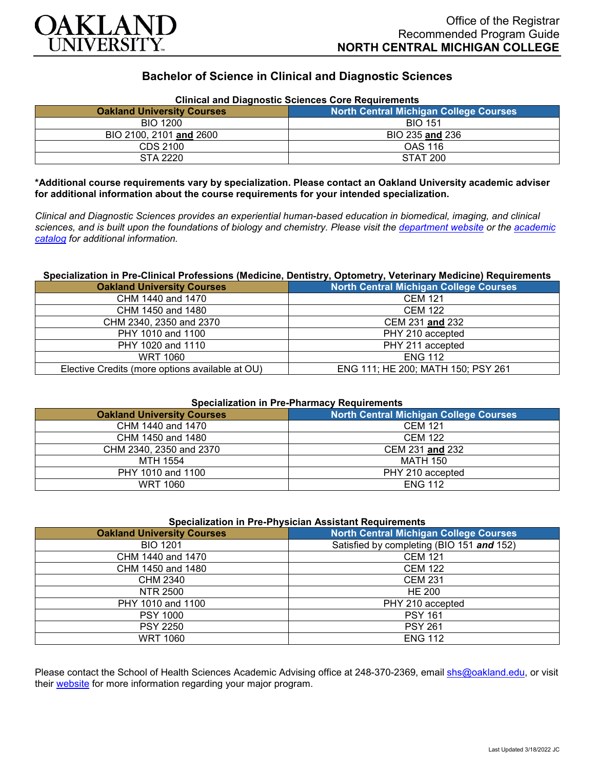

## **Bachelor of Science in Clinical and Diagnostic Sciences**

| <b>Clinical and Diagnostic Sciences Core Requirements</b> |                                        |
|-----------------------------------------------------------|----------------------------------------|
| <b>Oakland University Courses</b>                         | North Central Michigan College Courses |
| <b>BIO 1200</b>                                           | <b>BIO 151</b>                         |
| BIO 2100, 2101 and 2600                                   | BIO 235 and 236                        |
| CDS 2100                                                  | <b>OAS 116</b>                         |
| STA 2220                                                  | <b>STAT 200</b>                        |

**\*Additional course requirements vary by specialization. Please contact an Oakland University academic adviser for additional information about the course requirements for your intended specialization.**

*Clinical and Diagnostic Sciences provides an experiential human-based education in biomedical, imaging, and clinical sciences, and is built upon the foundations of biology and chemistry. Please visit the [department website](https://www.oakland.edu/shs/clinical-and-diagnostic-sciences/) or the [academic](http://catalog.oakland.edu/preview_program.php?catoid=53&poid=8663)  [catalog](http://catalog.oakland.edu/preview_program.php?catoid=53&poid=8663) for additional information.*

### **Specialization in Pre-Clinical Professions (Medicine, Dentistry, Optometry, Veterinary Medicine) Requirements**

| <b>Oakland University Courses</b>               | <b>North Central Michigan College Courses</b> |
|-------------------------------------------------|-----------------------------------------------|
| CHM 1440 and 1470                               | <b>CEM 121</b>                                |
| CHM 1450 and 1480                               | <b>CEM 122</b>                                |
| CHM 2340, 2350 and 2370                         | CEM 231 and 232                               |
| PHY 1010 and 1100                               | PHY 210 accepted                              |
| PHY 1020 and 1110                               | PHY 211 accepted                              |
| <b>WRT 1060</b>                                 | <b>ENG 112</b>                                |
| Elective Credits (more options available at OU) | ENG 111; HE 200; MATH 150; PSY 261            |

#### **Specialization in Pre-Pharmacy Requirements**

| <b>Oakland University Courses</b> | <b>North Central Michigan College Courses</b> |
|-----------------------------------|-----------------------------------------------|
| CHM 1440 and 1470                 | <b>CEM 121</b>                                |
| CHM 1450 and 1480                 | <b>CEM 122</b>                                |
| CHM 2340, 2350 and 2370           | CEM 231 and 232                               |
| MTH 1554                          | <b>MATH 150</b>                               |
| PHY 1010 and 1100                 | PHY 210 accepted                              |
| WRT 1060                          | <b>ENG 112</b>                                |

#### **Specialization in Pre-Physician Assistant Requirements**

| <b>Oakland University Courses</b> | <b>North Central Michigan College Courses</b> |
|-----------------------------------|-----------------------------------------------|
| <b>BIO 1201</b>                   | Satisfied by completing (BIO 151 and 152)     |
| CHM 1440 and 1470                 | <b>CEM 121</b>                                |
| CHM 1450 and 1480                 | <b>CEM 122</b>                                |
| CHM 2340                          | <b>CEM 231</b>                                |
| NTR 2500                          | <b>HE 200</b>                                 |
| PHY 1010 and 1100                 | PHY 210 accepted                              |
| <b>PSY 1000</b>                   | <b>PSY 161</b>                                |
| <b>PSY 2250</b>                   | <b>PSY 261</b>                                |
| <b>WRT 1060</b>                   | <b>ENG 112</b>                                |

Please contact the School of Health Sciences Academic Advising office at 248-370-2369, email [shs@oakland.edu,](mailto:shs@oakland.edu) or visit their [website](http://www.oakland.edu/shs/advising) for more information regarding your major program.